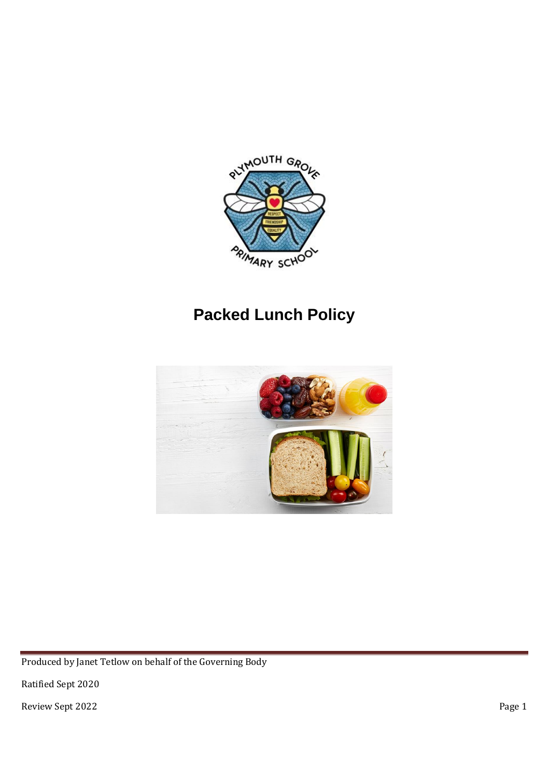

# **Packed Lunch Policy**



Produced by Janet Tetlow on behalf of the Governing Body

Ratified Sept 2020

Review Sept 2022 Page 1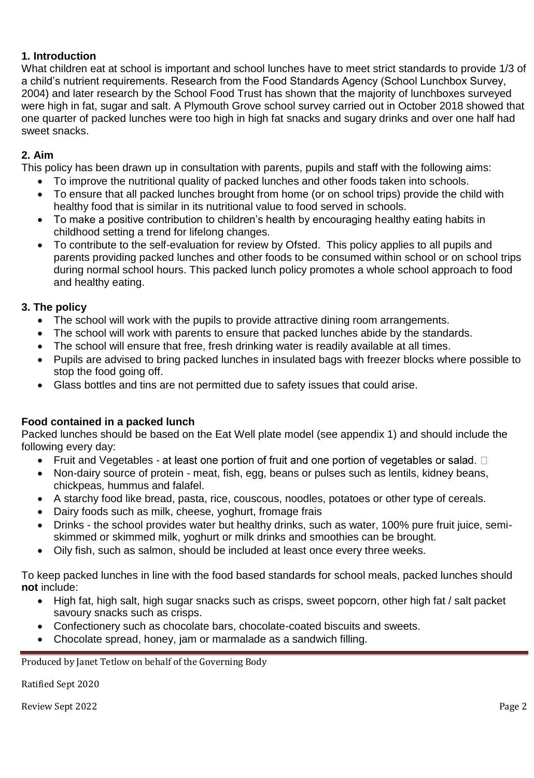### **1. Introduction**

What children eat at school is important and school lunches have to meet strict standards to provide 1/3 of a child's nutrient requirements. Research from the Food Standards Agency (School Lunchbox Survey, 2004) and later research by the School Food Trust has shown that the majority of lunchboxes surveyed were high in fat, sugar and salt. A Plymouth Grove school survey carried out in October 2018 showed that one quarter of packed lunches were too high in high fat snacks and sugary drinks and over one half had sweet snacks.

### **2. Aim**

This policy has been drawn up in consultation with parents, pupils and staff with the following aims:

- To improve the nutritional quality of packed lunches and other foods taken into schools.
- To ensure that all packed lunches brought from home (or on school trips) provide the child with healthy food that is similar in its nutritional value to food served in schools.
- To make a positive contribution to children's health by encouraging healthy eating habits in childhood setting a trend for lifelong changes.
- To contribute to the self-evaluation for review by Ofsted. This policy applies to all pupils and parents providing packed lunches and other foods to be consumed within school or on school trips during normal school hours. This packed lunch policy promotes a whole school approach to food and healthy eating.

### **3. The policy**

- The school will work with the pupils to provide attractive dining room arrangements.
- The school will work with parents to ensure that packed lunches abide by the standards.
- The school will ensure that free, fresh drinking water is readily available at all times.
- Pupils are advised to bring packed lunches in insulated bags with freezer blocks where possible to stop the food going off.
- Glass bottles and tins are not permitted due to safety issues that could arise.

# **Food contained in a packed lunch**

Packed lunches should be based on the Eat Well plate model (see appendix 1) and should include the following every day:

- Fruit and Vegetables at least one portion of fruit and one portion of vegetables or salad.  $\Box$
- Non-dairy source of protein meat, fish, egg, beans or pulses such as lentils, kidney beans, chickpeas, hummus and falafel.
- A starchy food like bread, pasta, rice, couscous, noodles, potatoes or other type of cereals.
- Dairy foods such as milk, cheese, yoghurt, fromage frais
- Drinks the school provides water but healthy drinks, such as water, 100% pure fruit juice, semiskimmed or skimmed milk, yoghurt or milk drinks and smoothies can be brought.
- Oily fish, such as salmon, should be included at least once every three weeks.

To keep packed lunches in line with the food based standards for school meals, packed lunches should **not** include:

- High fat, high salt, high sugar snacks such as crisps, sweet popcorn, other high fat / salt packet savoury snacks such as crisps.
- Confectionery such as chocolate bars, chocolate-coated biscuits and sweets.
- Chocolate spread, honey, jam or marmalade as a sandwich filling.

Produced by Janet Tetlow on behalf of the Governing Body

Ratified Sept 2020

Review Sept 2022 Page 2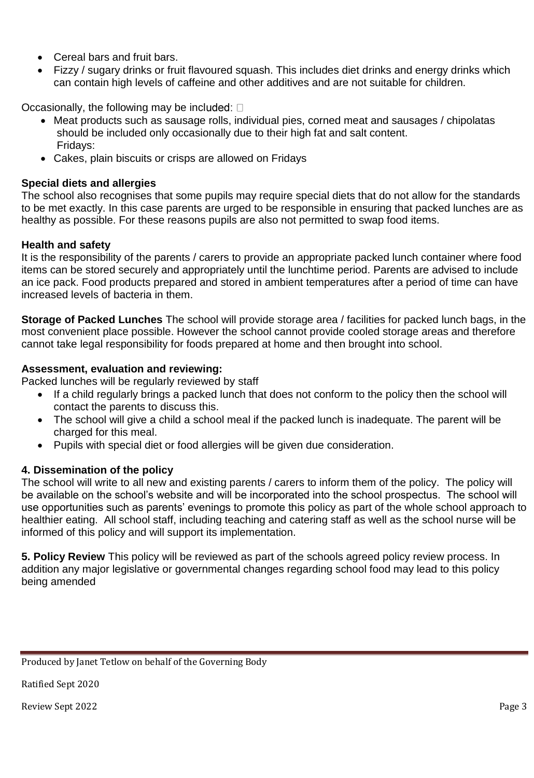- Cereal bars and fruit bars.
- Fizzy / sugary drinks or fruit flavoured squash. This includes diet drinks and energy drinks which can contain high levels of caffeine and other additives and are not suitable for children.

Occasionally, the following may be included:  $\square$ 

- Meat products such as sausage rolls, individual pies, corned meat and sausages / chipolatas should be included only occasionally due to their high fat and salt content. Fridays:
- Cakes, plain biscuits or crisps are allowed on Fridays

### **Special diets and allergies**

The school also recognises that some pupils may require special diets that do not allow for the standards to be met exactly. In this case parents are urged to be responsible in ensuring that packed lunches are as healthy as possible. For these reasons pupils are also not permitted to swap food items.

#### **Health and safety**

It is the responsibility of the parents / carers to provide an appropriate packed lunch container where food items can be stored securely and appropriately until the lunchtime period. Parents are advised to include an ice pack. Food products prepared and stored in ambient temperatures after a period of time can have increased levels of bacteria in them.

**Storage of Packed Lunches** The school will provide storage area / facilities for packed lunch bags, in the most convenient place possible. However the school cannot provide cooled storage areas and therefore cannot take legal responsibility for foods prepared at home and then brought into school.

### **Assessment, evaluation and reviewing:**

Packed lunches will be regularly reviewed by staff

- If a child regularly brings a packed lunch that does not conform to the policy then the school will contact the parents to discuss this.
- The school will give a child a school meal if the packed lunch is inadequate. The parent will be charged for this meal.
- Pupils with special diet or food allergies will be given due consideration.

# **4. Dissemination of the policy**

The school will write to all new and existing parents / carers to inform them of the policy. The policy will be available on the school's website and will be incorporated into the school prospectus. The school will use opportunities such as parents' evenings to promote this policy as part of the whole school approach to healthier eating. All school staff, including teaching and catering staff as well as the school nurse will be informed of this policy and will support its implementation.

**5. Policy Review** This policy will be reviewed as part of the schools agreed policy review process. In addition any major legislative or governmental changes regarding school food may lead to this policy being amended

Produced by Janet Tetlow on behalf of the Governing Body

Ratified Sept 2020